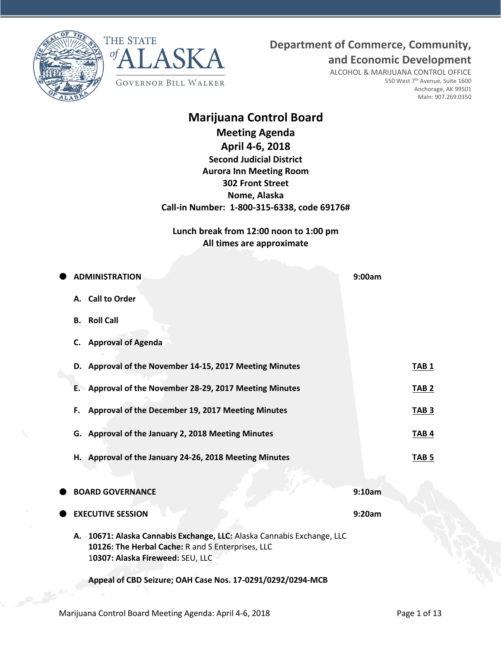**Department of Commerce, Community,**





ALCOHOL & MARIJUANA CONTROL OFFICE 550 West 7<sup>th</sup> Avenue, Suite 1600 Anchorage, AK 99501 Main: 907.269.0350

**and Economic Development**

# **Marijuana Control Board**

**Meeting Agenda April 4-6, 2018 Second Judicial District Aurora Inn Meeting Room 302 Front Street Nome, Alaska Call-in Number: 1-800-315-6338, code 69176#**

**Lunch break from 12:00 noon to 1:00 pm All times are approximate**

| <b>ADMINISTRATION</b>                                                                                                                                           | 9:00am           |
|-----------------------------------------------------------------------------------------------------------------------------------------------------------------|------------------|
| A. Call to Order                                                                                                                                                |                  |
| <b>Roll Call</b><br>В.                                                                                                                                          |                  |
| <b>Approval of Agenda</b><br>C.                                                                                                                                 |                  |
| D. Approval of the November 14-15, 2017 Meeting Minutes                                                                                                         | <b>TAB 1</b>     |
| E. Approval of the November 28-29, 2017 Meeting Minutes                                                                                                         | TAB <sub>2</sub> |
| Approval of the December 19, 2017 Meeting Minutes<br>F.                                                                                                         | TAB <sub>3</sub> |
| G. Approval of the January 2, 2018 Meeting Minutes                                                                                                              | TAB <sub>4</sub> |
| H. Approval of the January 24-26, 2018 Meeting Minutes                                                                                                          | TAB <sub>5</sub> |
|                                                                                                                                                                 |                  |
| <b>BOARD GOVERNANCE</b>                                                                                                                                         | 9:10am           |
| <b>EXECUTIVE SESSION</b>                                                                                                                                        | 9:20am           |
| A. 10671: Alaska Cannabis Exchange, LLC: Alaska Cannabis Exchange, LLC<br>10126: The Herbal Cache: R and S Enterprises, LLC<br>10307: Alaska Fireweed: SEU, LLC |                  |
| Appeal of CBD Seizure; OAH Case Nos. 17-0291/0292/0294-MCB                                                                                                      |                  |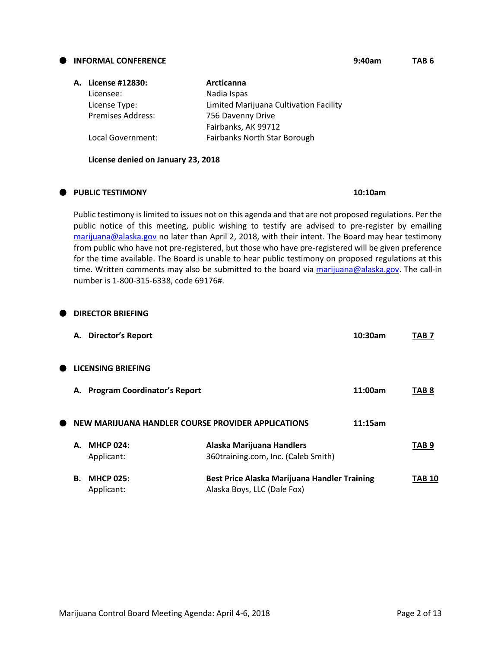#### **INFORMAL CONFERENCE 9:40am TAB 6**

| A. License #12830:       | Arcticanna                             |
|--------------------------|----------------------------------------|
| Licensee:                | Nadia Ispas                            |
| License Type:            | Limited Marijuana Cultivation Facility |
| <b>Premises Address:</b> | 756 Davenny Drive                      |
|                          | Fairbanks, AK 99712                    |
| Local Government:        | Fairbanks North Star Borough           |

#### **PUBLIC TESTIMONY 10:10am**

**DIRECTOR BRIEFING** 

Public testimony is limited to issues not on this agenda and that are not proposed regulations. Per the public notice of this meeting, public wishing to testify are advised to pre-register by emailing [marijuana@alaska.gov](mailto:marijuana@alaska.gov) no later than April 2, 2018, with their intent. The Board may hear testimony from public who have not pre-registered, but those who have pre-registered will be given preference for the time available. The Board is unable to hear public testimony on proposed regulations at this time. Written comments may also be submitted to the board via [marijuana@alaska.gov.](mailto:marijuana@alaska.gov) The call-in number is 1-800-315-6338, code 69176#.

|   | А. | Director's Report                                  |                                                                             | 10:30am | TAB 7            |
|---|----|----------------------------------------------------|-----------------------------------------------------------------------------|---------|------------------|
| Œ |    | <b>LICENSING BRIEFING</b>                          |                                                                             |         |                  |
|   | А. | <b>Program Coordinator's Report</b>                |                                                                             | 11:00am | TAB 8            |
| Œ |    | NEW MARIJUANA HANDLER COURSE PROVIDER APPLICATIONS |                                                                             | 11:15am |                  |
|   | А. | <b>MHCP 024:</b><br>Applicant:                     | Alaska Marijuana Handlers<br>360training.com, Inc. (Caleb Smith)            |         | TAB <sub>9</sub> |
|   | В. | <b>MHCP 025:</b><br>Applicant:                     | Best Price Alaska Marijuana Handler Training<br>Alaska Boys, LLC (Dale Fox) |         | TAB 10           |

| Local Government:                  | <b>Fairbanks North Star Borough</b> |
|------------------------------------|-------------------------------------|
| License denied on January 23, 2018 |                                     |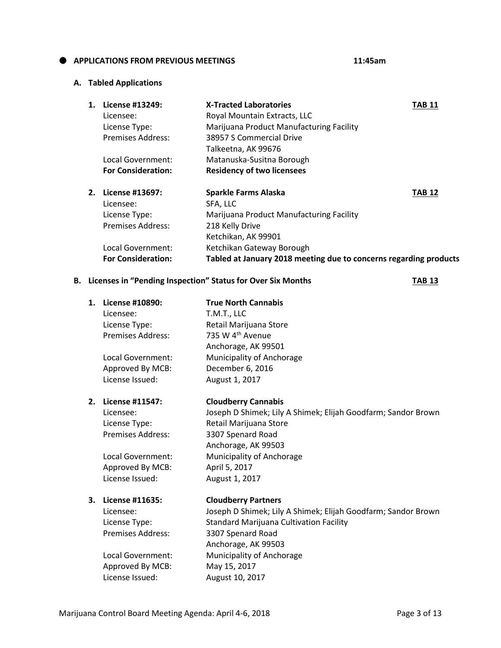#### **APPLICATIONS FROM PREVIOUS MEETINGS 11:45am**

#### **A. Tabled Applications**

| 1. | License #13249:           | <b>X-Tracted Laboratories</b>                                     | <b>TAB 11</b> |
|----|---------------------------|-------------------------------------------------------------------|---------------|
|    | Licensee:                 | Royal Mountain Extracts, LLC                                      |               |
|    | License Type:             | Marijuana Product Manufacturing Facility                          |               |
|    | Premises Address:         | 38957 S Commercial Drive                                          |               |
|    |                           | Talkeetna, AK 99676                                               |               |
|    | Local Government:         | Matanuska-Susitna Borough                                         |               |
|    | <b>For Consideration:</b> | <b>Residency of two licensees</b>                                 |               |
| 2. | License #13697:           | <b>Sparkle Farms Alaska</b>                                       | <b>TAB 12</b> |
|    | Licensee:                 | SFA, LLC                                                          |               |
|    | License Type:             | Marijuana Product Manufacturing Facility                          |               |
|    | Premises Address:         | 218 Kelly Drive                                                   |               |
|    |                           | Ketchikan, AK 99901                                               |               |
|    | Local Government:         | Ketchikan Gateway Borough                                         |               |
|    | <b>For Consideration:</b> | Tabled at January 2018 meeting due to concerns regarding products |               |

# **B.** Licenses in "Pending Inspection" Status for Over Six Months **TAB 13**

| 1. | License #10890:<br>Licensee:<br>License Type:<br><b>Premises Address:</b><br>Local Government:<br>Approved By MCB:<br>License Issued: | <b>True North Cannabis</b><br>T.M.T., LLC<br>Retail Marijuana Store<br>735 W 4 <sup>th</sup> Avenue<br>Anchorage, AK 99501<br>Municipality of Anchorage<br>December 6, 2016<br>August 1, 2017                                                             |
|----|---------------------------------------------------------------------------------------------------------------------------------------|-----------------------------------------------------------------------------------------------------------------------------------------------------------------------------------------------------------------------------------------------------------|
| 2. | License #11547:<br>Licensee:<br>License Type:<br><b>Premises Address:</b><br>Local Government:<br>Approved By MCB:<br>License Issued: | <b>Cloudberry Cannabis</b><br>Joseph D Shimek; Lily A Shimek; Elijah Goodfarm; Sandor Brown<br>Retail Marijuana Store<br>3307 Spenard Road<br>Anchorage, AK 99503<br>Municipality of Anchorage<br>April 5, 2017<br>August 1, 2017                         |
| 3. | License #11635:<br>Licensee:<br>License Type:<br><b>Premises Address:</b><br>Local Government:<br>Approved By MCB:<br>License Issued: | <b>Cloudberry Partners</b><br>Joseph D Shimek; Lily A Shimek; Elijah Goodfarm; Sandor Brown<br><b>Standard Marijuana Cultivation Facility</b><br>3307 Spenard Road<br>Anchorage, AK 99503<br>Municipality of Anchorage<br>May 15, 2017<br>August 10, 2017 |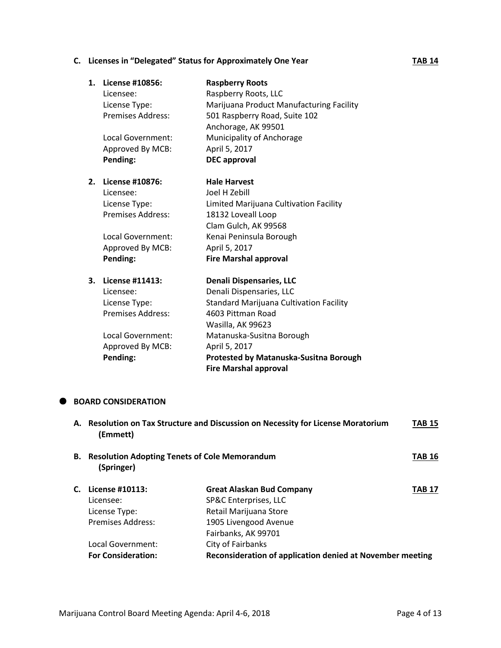# **C.** Licenses in "Delegated" Status for Approximately One Year **TAB 14**

| 1. | License #10856:          | <b>Raspberry Roots</b>                   |
|----|--------------------------|------------------------------------------|
|    | Licensee:                | Raspberry Roots, LLC                     |
|    | License Type:            | Marijuana Product Manufacturing Facility |
|    | <b>Premises Address:</b> | 501 Raspberry Road, Suite 102            |
|    |                          | Anchorage, AK 99501                      |
|    | Local Government:        | Municipality of Anchorage                |
|    | Approved By MCB:         | April 5, 2017                            |
|    | Pending:                 | <b>DEC</b> approval                      |
| 2. | License #10876:          | <b>Hale Harvest</b>                      |
|    | Licensee:                | Joel H Zebill                            |
|    | License Type:            | Limited Marijuana Cultivation Facility   |
|    | <b>Premises Address:</b> | 18132 Loveall Loop                       |
|    |                          | Clam Gulch, AK 99568                     |
|    | Local Government:        | Kenai Peninsula Borough                  |
|    | Approved By MCB:         | April 5, 2017                            |
|    | Pending:                 | <b>Fire Marshal approval</b>             |
| 3. | License #11413:          | <b>Denali Dispensaries, LLC</b>          |
|    | Licensee:                | Denali Dispensaries, LLC                 |
|    | License Type:            | Standard Marijuana Cultivation Facility  |
|    | <b>Premises Address:</b> | 4603 Pittman Road                        |
|    |                          | Wasilla, AK 99623                        |
|    | Local Government:        | Matanuska-Susitna Borough                |
|    | Approved By MCB:         | April 5, 2017                            |
|    | Pending:                 | Protested by Matanuska-Susitna Borough   |
|    |                          | <b>Fire Marshal approval</b>             |

## **BOARD CONSIDERATION**

|    | (Emmett)                                                           | A. Resolution on Tax Structure and Discussion on Necessity for License Moratorium | <b>TAB 15</b> |
|----|--------------------------------------------------------------------|-----------------------------------------------------------------------------------|---------------|
| В. | <b>Resolution Adopting Tenets of Cole Memorandum</b><br>(Springer) |                                                                                   | <b>TAB 16</b> |
|    | License #10113:                                                    | <b>Great Alaskan Bud Company</b>                                                  | <b>TAB 17</b> |
|    | Licensee:                                                          | SP&C Enterprises, LLC                                                             |               |
|    | License Type:                                                      | Retail Marijuana Store                                                            |               |
|    | <b>Premises Address:</b>                                           | 1905 Livengood Avenue                                                             |               |
|    |                                                                    | Fairbanks, AK 99701                                                               |               |
|    | Local Government:                                                  | City of Fairbanks                                                                 |               |
|    | <b>For Consideration:</b>                                          | Reconsideration of application denied at November meeting                         |               |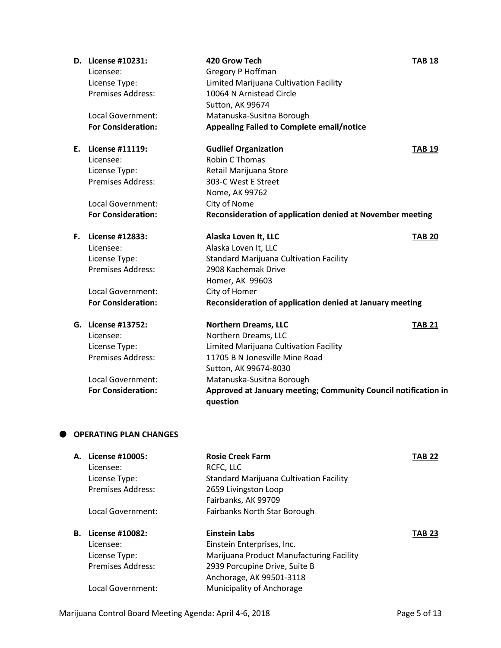|    | D. License #10231:            | 420 Grow Tech                                                  | <b>TAB 18</b> |
|----|-------------------------------|----------------------------------------------------------------|---------------|
|    | Licensee:                     | Gregory P Hoffman                                              |               |
|    | License Type:                 | Limited Marijuana Cultivation Facility                         |               |
|    | <b>Premises Address:</b>      | 10064 N Arnistead Circle                                       |               |
|    |                               | Sutton, AK 99674                                               |               |
|    | Local Government:             | Matanuska-Susitna Borough                                      |               |
|    | <b>For Consideration:</b>     | <b>Appealing Failed to Complete email/notice</b>               |               |
|    | E. License #11119:            | <b>Gudlief Organization</b>                                    | <b>TAB 19</b> |
|    | Licensee:                     | Robin C Thomas                                                 |               |
|    | License Type:                 | Retail Marijuana Store                                         |               |
|    | <b>Premises Address:</b>      | 303-C West E Street                                            |               |
|    |                               | Nome, AK 99762                                                 |               |
|    | Local Government:             | City of Nome                                                   |               |
|    | <b>For Consideration:</b>     | Reconsideration of application denied at November meeting      |               |
| Е. | License #12833:               | Alaska Loven It, LLC                                           | <b>TAB 20</b> |
|    | Licensee:                     | Alaska Loven It, LLC                                           |               |
|    | License Type:                 | <b>Standard Marijuana Cultivation Facility</b>                 |               |
|    | <b>Premises Address:</b>      | 2908 Kachemak Drive                                            |               |
|    |                               | Homer, AK 99603                                                |               |
|    | Local Government:             | City of Homer                                                  |               |
|    | <b>For Consideration:</b>     | Reconsideration of application denied at January meeting       |               |
|    | G. License #13752:            | <b>Northern Dreams, LLC</b>                                    | <b>TAB 21</b> |
|    | Licensee:                     | Northern Dreams, LLC                                           |               |
|    | License Type:                 | Limited Marijuana Cultivation Facility                         |               |
|    | Premises Address:             | 11705 B N Jonesville Mine Road                                 |               |
|    |                               | Sutton, AK 99674-8030                                          |               |
|    | <b>Local Government:</b>      | Matanuska-Susitna Borough                                      |               |
|    | <b>For Consideration:</b>     | Approved at January meeting; Community Council notification in |               |
|    |                               | question                                                       |               |
|    | <b>OPERATING PLAN CHANGES</b> |                                                                |               |
|    | A. License #10005:            | <b>Rosie Creek Farm</b>                                        | <b>TAB 22</b> |
|    | Licensee:                     | RCFC, LLC                                                      |               |
|    | License Type:                 | <b>Standard Marijuana Cultivation Facility</b>                 |               |
|    | <b>Premises Address:</b>      | 2659 Livingston Loop                                           |               |
|    |                               | Fairbanks, AK 99709                                            |               |
|    | Local Government:             | Fairbanks North Star Borough                                   |               |

| <b>B.</b> License #10082: | Einstein Labs                            | <b>TAB 23</b> |
|---------------------------|------------------------------------------|---------------|
| Licensee:                 | Einstein Enterprises, Inc.               |               |
| License Type:             | Marijuana Product Manufacturing Facility |               |
| <b>Premises Address:</b>  | 2939 Porcupine Drive, Suite B            |               |
|                           | Anchorage, AK 99501-3118                 |               |
| Local Government:         | Municipality of Anchorage                |               |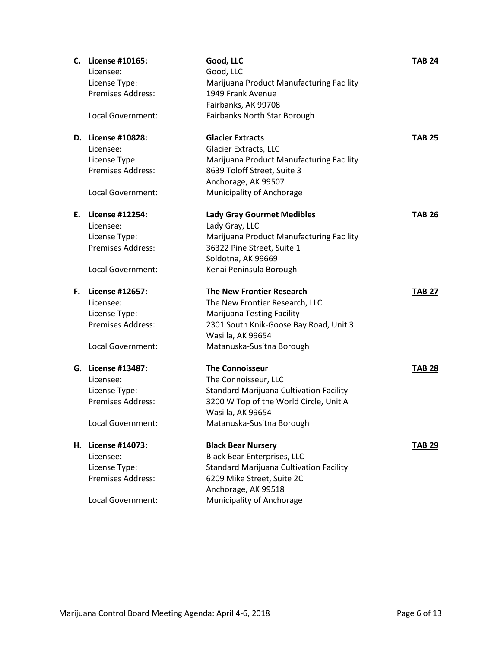|    | C. License #10165:       | Good, LLC                                        | <b>TAB 24</b> |
|----|--------------------------|--------------------------------------------------|---------------|
|    | Licensee:                | Good, LLC                                        |               |
|    | License Type:            | Marijuana Product Manufacturing Facility         |               |
|    | <b>Premises Address:</b> | 1949 Frank Avenue                                |               |
|    |                          | Fairbanks, AK 99708                              |               |
|    | Local Government:        | Fairbanks North Star Borough                     |               |
|    | D. License #10828:       | <b>Glacier Extracts</b>                          | <b>TAB 25</b> |
|    | Licensee:                | <b>Glacier Extracts, LLC</b>                     |               |
|    | License Type:            | Marijuana Product Manufacturing Facility         |               |
|    | <b>Premises Address:</b> | 8639 Toloff Street, Suite 3                      |               |
|    |                          | Anchorage, AK 99507                              |               |
|    | Local Government:        | Municipality of Anchorage                        |               |
| Е. | <b>License #12254:</b>   | <b>Lady Gray Gourmet Medibles</b>                | <b>TAB 26</b> |
|    | Licensee:                | Lady Gray, LLC                                   |               |
|    | License Type:            | Marijuana Product Manufacturing Facility         |               |
|    | <b>Premises Address:</b> | 36322 Pine Street, Suite 1                       |               |
|    |                          | Soldotna, AK 99669                               |               |
|    | Local Government:        | Kenai Peninsula Borough                          |               |
|    |                          |                                                  |               |
| F. | License #12657:          | <b>The New Frontier Research</b>                 | <b>TAB 27</b> |
|    | Licensee:                | The New Frontier Research, LLC                   |               |
|    | License Type:            | Marijuana Testing Facility                       |               |
|    | <b>Premises Address:</b> | 2301 South Knik-Goose Bay Road, Unit 3           |               |
|    |                          | Wasilla, AK 99654                                |               |
|    | Local Government:        | Matanuska-Susitna Borough                        |               |
|    | G. License #13487:       | <b>The Connoisseur</b>                           | <b>TAB 28</b> |
|    | Licensee:                | The Connoisseur, LLC                             |               |
|    | License Type:            | <b>Standard Marijuana Cultivation Facility</b>   |               |
|    | <b>Premises Address:</b> | 3200 W Top of the World Circle, Unit A           |               |
|    |                          | Wasilla, AK 99654                                |               |
|    | Local Government:        | Matanuska-Susitna Borough                        |               |
|    | H. License #14073:       | <b>Black Bear Nursery</b>                        | <b>TAB 29</b> |
|    | Licensee:                | <b>Black Bear Enterprises, LLC</b>               |               |
|    | License Type:            | <b>Standard Marijuana Cultivation Facility</b>   |               |
|    | Premises Address:        | 6209 Mike Street, Suite 2C                       |               |
|    | Local Government:        | Anchorage, AK 99518<br>Municipality of Anchorage |               |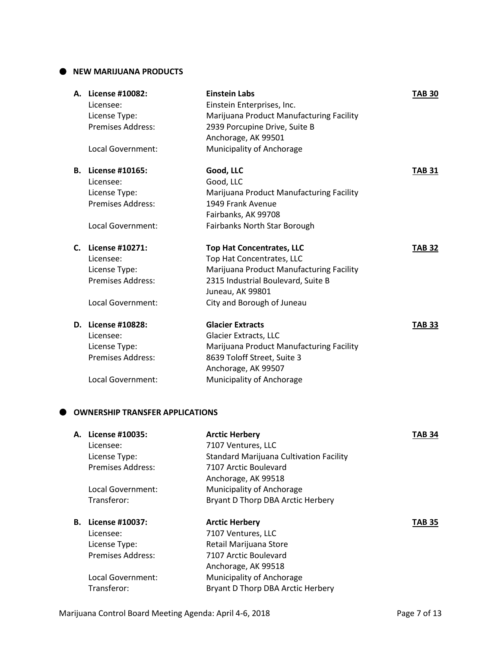#### $\bullet$  NEW MARIJUANA PRODUCTS

| А. | License #10082:<br>Licensee: | <b>Einstein Labs</b><br>Einstein Enterprises, Inc.                | <b>TAB 30</b> |
|----|------------------------------|-------------------------------------------------------------------|---------------|
|    | License Type:                | Marijuana Product Manufacturing Facility                          |               |
|    | <b>Premises Address:</b>     | 2939 Porcupine Drive, Suite B                                     |               |
|    |                              | Anchorage, AK 99501                                               |               |
|    | Local Government:            | Municipality of Anchorage                                         |               |
|    | <b>B.</b> License #10165:    | Good, LLC                                                         | TAB 31        |
|    | Licensee:                    | Good, LLC                                                         |               |
|    | License Type:                | Marijuana Product Manufacturing Facility                          |               |
|    | <b>Premises Address:</b>     | 1949 Frank Avenue                                                 |               |
|    |                              | Fairbanks, AK 99708                                               |               |
|    | Local Government:            | Fairbanks North Star Borough                                      |               |
| C. | License #10271:              | <b>Top Hat Concentrates, LLC</b>                                  | <b>TAB 32</b> |
|    |                              |                                                                   |               |
|    | Licensee:                    | Top Hat Concentrates, LLC                                         |               |
|    | License Type:                | Marijuana Product Manufacturing Facility                          |               |
|    | <b>Premises Address:</b>     | 2315 Industrial Boulevard, Suite B                                |               |
|    |                              | Juneau, AK 99801                                                  |               |
|    | Local Government:            | City and Borough of Juneau                                        |               |
|    | D. License #10828:           | <b>Glacier Extracts</b>                                           | <b>TAB 33</b> |
|    | Licensee:                    |                                                                   |               |
|    | License Type:                | Glacier Extracts, LLC<br>Marijuana Product Manufacturing Facility |               |
|    | <b>Premises Address:</b>     | 8639 Toloff Street, Suite 3                                       |               |
|    |                              | Anchorage, AK 99507                                               |               |
|    | Local Government:            | Municipality of Anchorage                                         |               |

### $\bullet$  OWNERSHIP TRANSFER APPLICATIONS

| А. | License #10035:          | <b>Arctic Herbery</b>                          | TAB 34        |
|----|--------------------------|------------------------------------------------|---------------|
|    | Licensee:                | 7107 Ventures, LLC                             |               |
|    | License Type:            | <b>Standard Marijuana Cultivation Facility</b> |               |
|    | <b>Premises Address:</b> | 7107 Arctic Boulevard                          |               |
|    |                          | Anchorage, AK 99518                            |               |
|    | Local Government:        | Municipality of Anchorage                      |               |
|    | Transferor:              | Bryant D Thorp DBA Arctic Herbery              |               |
| В. | License #10037:          | <b>Arctic Herbery</b>                          | <b>TAB 35</b> |
|    | Licensee:                | 7107 Ventures, LLC                             |               |
|    | License Type:            | Retail Marijuana Store                         |               |
|    | <b>Premises Address:</b> | 7107 Arctic Boulevard                          |               |
|    |                          | Anchorage, AK 99518                            |               |
|    | Local Government:        | Municipality of Anchorage                      |               |
|    | Transferor:              | Bryant D Thorp DBA Arctic Herbery              |               |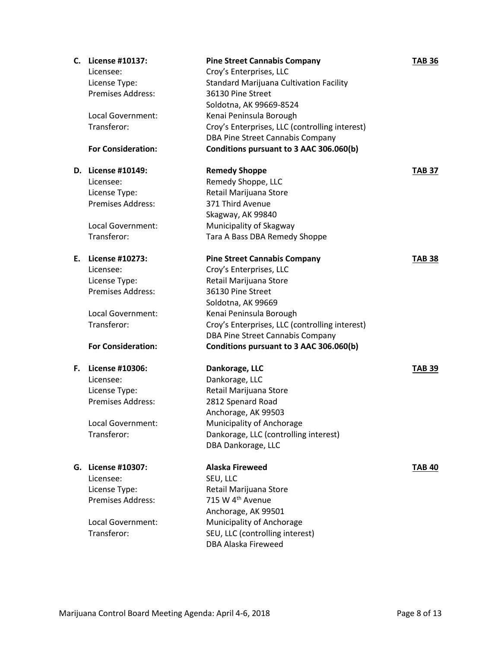| C. | License #10137:           | <b>Pine Street Cannabis Company</b>            | <b>TAB 36</b> |
|----|---------------------------|------------------------------------------------|---------------|
|    | Licensee:                 | Croy's Enterprises, LLC                        |               |
|    | License Type:             | <b>Standard Marijuana Cultivation Facility</b> |               |
|    | <b>Premises Address:</b>  | 36130 Pine Street                              |               |
|    |                           | Soldotna, AK 99669-8524                        |               |
|    | Local Government:         | Kenai Peninsula Borough                        |               |
|    | Transferor:               | Croy's Enterprises, LLC (controlling interest) |               |
|    |                           | <b>DBA Pine Street Cannabis Company</b>        |               |
|    | <b>For Consideration:</b> | Conditions pursuant to 3 AAC 306.060(b)        |               |
|    |                           |                                                |               |
|    | D. License #10149:        | <b>Remedy Shoppe</b>                           | <b>TAB 37</b> |
|    | Licensee:                 | Remedy Shoppe, LLC                             |               |
|    | License Type:             | Retail Marijuana Store                         |               |
|    | Premises Address:         | 371 Third Avenue                               |               |
|    |                           | Skagway, AK 99840                              |               |
|    | Local Government:         | Municipality of Skagway                        |               |
|    | Transferor:               | Tara A Bass DBA Remedy Shoppe                  |               |
|    |                           |                                                |               |
| Е. | License #10273:           | <b>Pine Street Cannabis Company</b>            | <b>TAB 38</b> |
|    | Licensee:                 | Croy's Enterprises, LLC                        |               |
|    | License Type:             | Retail Marijuana Store                         |               |
|    | <b>Premises Address:</b>  | 36130 Pine Street                              |               |
|    |                           | Soldotna, AK 99669                             |               |
|    | Local Government:         | Kenai Peninsula Borough                        |               |
|    | Transferor:               | Croy's Enterprises, LLC (controlling interest) |               |
|    |                           | DBA Pine Street Cannabis Company               |               |
|    | <b>For Consideration:</b> | Conditions pursuant to 3 AAC 306.060(b)        |               |
|    |                           |                                                |               |
| F. | License #10306:           | Dankorage, LLC                                 | <b>TAB 39</b> |
|    | Licensee:                 | Dankorage, LLC                                 |               |
|    | License Type:             | Retail Marijuana Store                         |               |
|    | <b>Premises Address:</b>  | 2812 Spenard Road                              |               |
|    |                           | Anchorage, AK 99503                            |               |
|    | Local Government:         | Municipality of Anchorage                      |               |
|    | Transferor:               | Dankorage, LLC (controlling interest)          |               |
|    |                           | DBA Dankorage, LLC                             |               |
|    |                           |                                                |               |
|    | G. License #10307:        | <b>Alaska Fireweed</b>                         | <b>TAB 40</b> |
|    | Licensee:                 | SEU, LLC                                       |               |
|    | License Type:             | Retail Marijuana Store                         |               |
|    | <b>Premises Address:</b>  | 715 W 4 <sup>th</sup> Avenue                   |               |
|    |                           | Anchorage, AK 99501                            |               |
|    | Local Government:         | Municipality of Anchorage                      |               |
|    | Transferor:               | SEU, LLC (controlling interest)                |               |
|    |                           | <b>DBA Alaska Fireweed</b>                     |               |
|    |                           |                                                |               |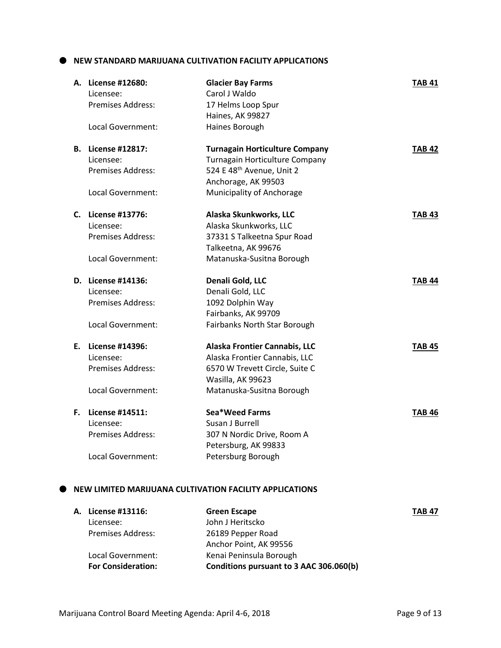**NEW STANDARD MARIJUANA CULTIVATION FACILITY APPLICATIONS**

| A. License #12680:<br>Licensee:<br><b>Premises Address:</b><br>Local Government:        | <b>Glacier Bay Farms</b><br>Carol J Waldo<br>17 Helms Loop Spur<br>Haines, AK 99827<br>Haines Borough                                                                | <b>TAB 41</b> |
|-----------------------------------------------------------------------------------------|----------------------------------------------------------------------------------------------------------------------------------------------------------------------|---------------|
| <b>B.</b> License #12817:<br>Licensee:<br><b>Premises Address:</b><br>Local Government: | <b>Turnagain Horticulture Company</b><br>Turnagain Horticulture Company<br>524 E 48 <sup>th</sup> Avenue, Unit 2<br>Anchorage, AK 99503<br>Municipality of Anchorage | <b>TAB 42</b> |
| C. License #13776:<br>Licensee:<br><b>Premises Address:</b><br>Local Government:        | Alaska Skunkworks, LLC<br>Alaska Skunkworks, LLC<br>37331 S Talkeetna Spur Road<br>Talkeetna, AK 99676<br>Matanuska-Susitna Borough                                  | <b>TAB 43</b> |
| D. License #14136:<br>Licensee:<br><b>Premises Address:</b>                             | Denali Gold, LLC<br>Denali Gold, LLC<br>1092 Dolphin Way<br>Fairbanks, AK 99709                                                                                      | <b>TAB 44</b> |
| Local Government:                                                                       | Fairbanks North Star Borough                                                                                                                                         |               |
| E. License #14396:<br>Licensee:<br>Premises Address:<br>Local Government:               | Alaska Frontier Cannabis, LLC<br>Alaska Frontier Cannabis, LLC<br>6570 W Trevett Circle, Suite C<br>Wasilla, AK 99623<br>Matanuska-Susitna Borough                   | TAB 45        |

#### **NEW LIMITED MARIJUANA CULTIVATION FACILITY APPLICATIONS**

|                           | <b>Green Escape</b>                     | <b>TAB 47</b> |
|---------------------------|-----------------------------------------|---------------|
| Licensee:                 | John J Heritscko                        |               |
| <b>Premises Address:</b>  | 26189 Pepper Road                       |               |
|                           | Anchor Point, AK 99556                  |               |
| Local Government:         | Kenai Peninsula Borough                 |               |
| <b>For Consideration:</b> | Conditions pursuant to 3 AAC 306.060(b) |               |
|                           | A. License #13116:                      |               |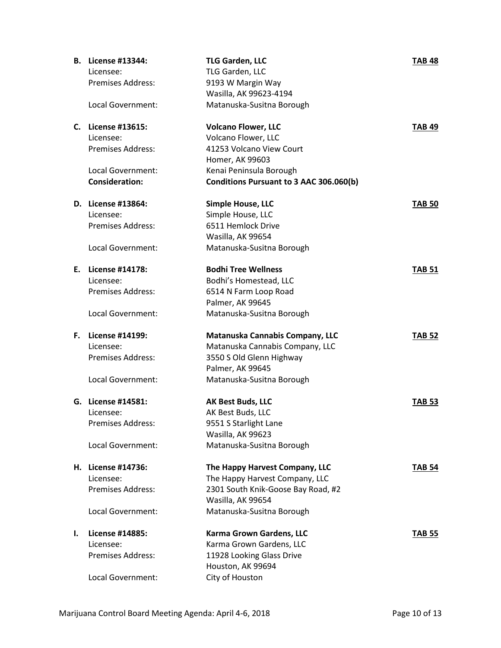|    | <b>B.</b> License #13344: | <b>TLG Garden, LLC</b>                  | <b>TAB 48</b> |
|----|---------------------------|-----------------------------------------|---------------|
|    | Licensee:                 | TLG Garden, LLC                         |               |
|    | Premises Address:         | 9193 W Margin Way                       |               |
|    |                           | Wasilla, AK 99623-4194                  |               |
|    | Local Government:         | Matanuska-Susitna Borough               |               |
|    |                           |                                         |               |
|    | C. License #13615:        | <b>Volcano Flower, LLC</b>              | <b>TAB 49</b> |
|    | Licensee:                 | Volcano Flower, LLC                     |               |
|    | <b>Premises Address:</b>  | 41253 Volcano View Court                |               |
|    |                           | Homer, AK 99603                         |               |
|    | Local Government:         | Kenai Peninsula Borough                 |               |
|    | <b>Consideration:</b>     | Conditions Pursuant to 3 AAC 306.060(b) |               |
|    |                           |                                         |               |
|    | D. License #13864:        | <b>Simple House, LLC</b>                | <b>TAB 50</b> |
|    | Licensee:                 | Simple House, LLC                       |               |
|    | <b>Premises Address:</b>  | 6511 Hemlock Drive                      |               |
|    |                           | Wasilla, AK 99654                       |               |
|    | Local Government:         | Matanuska-Susitna Borough               |               |
| Е. | License #14178:           | <b>Bodhi Tree Wellness</b>              | <b>TAB 51</b> |
|    | Licensee:                 | Bodhi's Homestead, LLC                  |               |
|    | <b>Premises Address:</b>  | 6514 N Farm Loop Road                   |               |
|    |                           | Palmer, AK 99645                        |               |
|    | Local Government:         | Matanuska-Susitna Borough               |               |
|    |                           |                                         |               |
| F. | License #14199:           | Matanuska Cannabis Company, LLC         | <b>TAB 52</b> |
|    | Licensee:                 | Matanuska Cannabis Company, LLC         |               |
|    | <b>Premises Address:</b>  | 3550 S Old Glenn Highway                |               |
|    |                           | Palmer, AK 99645                        |               |
|    | Local Government:         | Matanuska-Susitna Borough               |               |
|    | G. License #14581:        | <b>AK Best Buds, LLC</b>                | <b>TAB 53</b> |
|    | Licensee:                 | AK Best Buds, LLC                       |               |
|    | Premises Address:         | 9551 S Starlight Lane                   |               |
|    |                           | Wasilla, AK 99623                       |               |
|    | Local Government:         | Matanuska-Susitna Borough               |               |
|    |                           |                                         |               |
| н. | License #14736:           | The Happy Harvest Company, LLC          | <b>TAB 54</b> |
|    | Licensee:                 | The Happy Harvest Company, LLC          |               |
|    | <b>Premises Address:</b>  | 2301 South Knik-Goose Bay Road, #2      |               |
|    |                           | Wasilla, AK 99654                       |               |
|    | <b>Local Government:</b>  | Matanuska-Susitna Borough               |               |
| I. | License #14885:           | Karma Grown Gardens, LLC                | <b>TAB 55</b> |
|    | Licensee:                 | Karma Grown Gardens, LLC                |               |
|    | <b>Premises Address:</b>  | 11928 Looking Glass Drive               |               |
|    |                           |                                         |               |
|    |                           |                                         |               |
|    | Local Government:         | Houston, AK 99694<br>City of Houston    |               |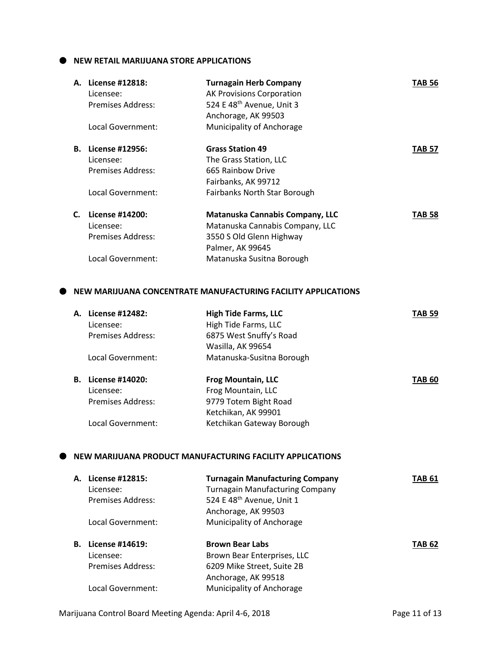**NEW RETAIL MARIJUANA STORE APPLICATIONS**

|    | A. License #12818:       | <b>Turnagain Herb Company</b>         | <b>TAB 56</b> |
|----|--------------------------|---------------------------------------|---------------|
|    | Licensee:                | <b>AK Provisions Corporation</b>      |               |
|    | <b>Premises Address:</b> | 524 E 48 <sup>th</sup> Avenue, Unit 3 |               |
|    |                          | Anchorage, AK 99503                   |               |
|    | Local Government:        | Municipality of Anchorage             |               |
| В. | License #12956:          | <b>Grass Station 49</b>               | <b>TAB 57</b> |
|    | Licensee:                | The Grass Station, LLC                |               |
|    | Premises Address:        | 665 Rainbow Drive                     |               |
|    |                          | Fairbanks, AK 99712                   |               |
|    | Local Government:        | <b>Fairbanks North Star Borough</b>   |               |
| C. | License #14200:          | Matanuska Cannabis Company, LLC       | <b>TAB 58</b> |
|    | Licensee:                | Matanuska Cannabis Company, LLC       |               |
|    | Premises Address:        | 3550 S Old Glenn Highway              |               |
|    |                          | Palmer, AK 99645                      |               |
|    | Local Government:        | Matanuska Susitna Borough             |               |
|    |                          |                                       |               |

#### **NEW MARIJUANA CONCENTRATE MANUFACTURING FACILITY APPLICATIONS**

| А. | License #12482:          | <b>High Tide Farms, LLC</b> | <b>TAB 59</b> |
|----|--------------------------|-----------------------------|---------------|
|    | Licensee:                | High Tide Farms, LLC        |               |
|    | <b>Premises Address:</b> | 6875 West Snuffy's Road     |               |
|    |                          | Wasilla, AK 99654           |               |
|    | Local Government:        | Matanuska-Susitna Borough   |               |
| В. | License #14020:          | <b>Frog Mountain, LLC</b>   | <b>TAB 60</b> |
|    | Licensee:                | Frog Mountain, LLC          |               |
|    | Premises Address:        | 9779 Totem Bight Road       |               |
|    |                          | Ketchikan, AK 99901         |               |
|    | Local Government:        | Ketchikan Gateway Borough   |               |
|    |                          |                             |               |
|    |                          |                             |               |

## **NEW MARIJUANA PRODUCT MANUFACTURING FACILITY APPLICATIONS**

| А. | License #12815:<br>Licensee:<br><b>Premises Address:</b> | <b>Turnagain Manufacturing Company</b><br><b>Turnagain Manufacturing Company</b><br>524 E 48 <sup>th</sup> Avenue, Unit 1 | TAB 61        |
|----|----------------------------------------------------------|---------------------------------------------------------------------------------------------------------------------------|---------------|
|    |                                                          | Anchorage, AK 99503                                                                                                       |               |
|    | Local Government:                                        | Municipality of Anchorage                                                                                                 |               |
| В. | License #14619:                                          | <b>Brown Bear Labs</b>                                                                                                    | <b>TAB 62</b> |
|    | Licensee:                                                | Brown Bear Enterprises, LLC                                                                                               |               |
|    | Premises Address:                                        | 6209 Mike Street, Suite 2B                                                                                                |               |
|    |                                                          | Anchorage, AK 99518                                                                                                       |               |
|    | Local Government:                                        | Municipality of Anchorage                                                                                                 |               |
|    |                                                          |                                                                                                                           |               |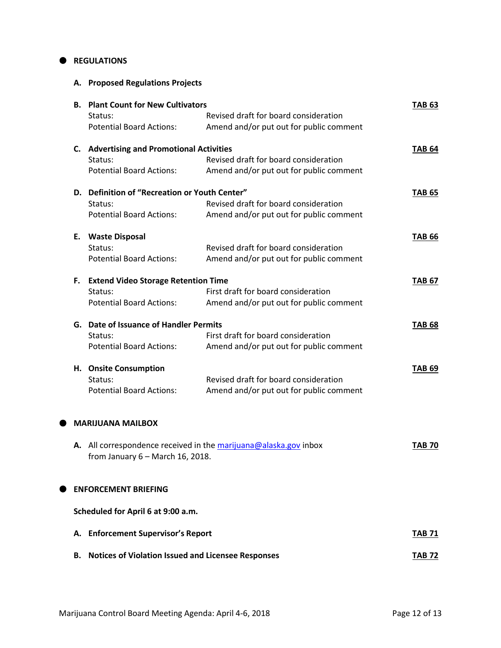#### $\bullet$  REGULATIONS

**A. Proposed Regulations Projects**

|   |    | <b>B. Plant Count for New Cultivators</b>     |                                                                  | <b>TAB 63</b> |
|---|----|-----------------------------------------------|------------------------------------------------------------------|---------------|
|   |    | Status:                                       | Revised draft for board consideration                            |               |
|   |    | <b>Potential Board Actions:</b>               | Amend and/or put out for public comment                          |               |
|   |    | C. Advertising and Promotional Activities     |                                                                  | <b>TAB 64</b> |
|   |    | Status:                                       | Revised draft for board consideration                            |               |
|   |    | <b>Potential Board Actions:</b>               | Amend and/or put out for public comment                          |               |
|   |    | D. Definition of "Recreation or Youth Center" |                                                                  | <b>TAB 65</b> |
|   |    | Status:                                       | Revised draft for board consideration                            |               |
|   |    | <b>Potential Board Actions:</b>               | Amend and/or put out for public comment                          |               |
|   | Е. | <b>Waste Disposal</b>                         |                                                                  | <b>TAB 66</b> |
|   |    | Status:                                       | Revised draft for board consideration                            |               |
|   |    | <b>Potential Board Actions:</b>               | Amend and/or put out for public comment                          |               |
|   | F. | <b>Extend Video Storage Retention Time</b>    |                                                                  | <b>TAB 67</b> |
|   |    | Status:                                       | First draft for board consideration                              |               |
|   |    | <b>Potential Board Actions:</b>               | Amend and/or put out for public comment                          |               |
|   |    | G. Date of Issuance of Handler Permits        |                                                                  | <b>TAB 68</b> |
|   |    | Status:                                       | First draft for board consideration                              |               |
|   |    | <b>Potential Board Actions:</b>               | Amend and/or put out for public comment                          |               |
|   |    | H. Onsite Consumption                         |                                                                  | <b>TAB 69</b> |
|   |    | Status:                                       | Revised draft for board consideration                            |               |
|   |    | <b>Potential Board Actions:</b>               | Amend and/or put out for public comment                          |               |
|   |    |                                               |                                                                  |               |
| ● |    | <b>MARIJUANA MAILBOX</b>                      |                                                                  |               |
|   |    |                                               | A. All correspondence received in the marijuana@alaska.gov inbox | TAB 70        |
|   |    | from January $6 -$ March 16, 2018.            |                                                                  |               |
|   |    | <b>ENFORCEMENT BRIEFING</b>                   |                                                                  |               |
|   |    |                                               |                                                                  |               |
|   |    | Scheduled for April 6 at 9:00 a.m.            |                                                                  |               |
|   |    | A. Enforcement Supervisor's Report            |                                                                  | <b>TAB 71</b> |
|   |    |                                               |                                                                  |               |

**B.** Notices of Violation Issued and Licensee Responses **TAB 72**